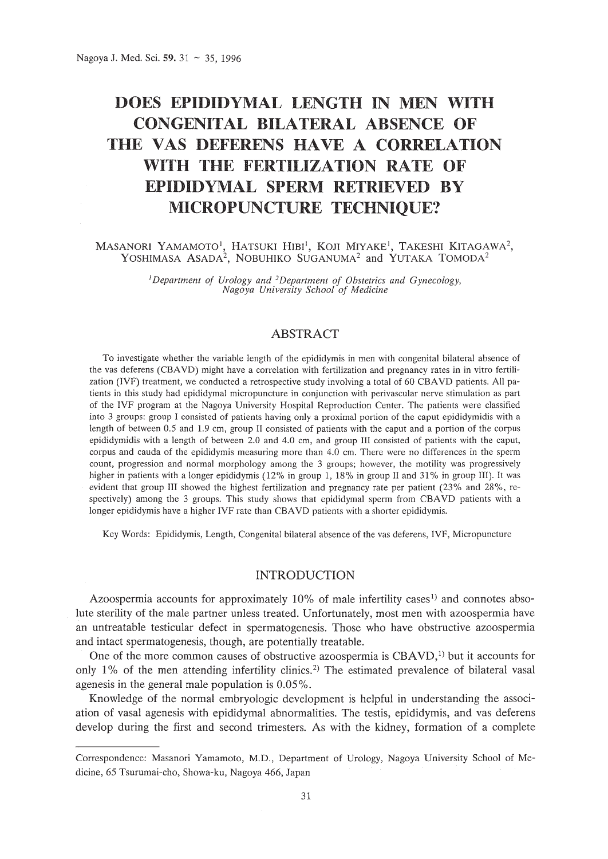# **DOES EPIDIDYMAL LENGTH IN MEN WITH CONGENITAL BILATERAL ABSENCE OF THE VAS DEFERENS HAVE A CORRELATION WITH THE FERTILIZATION RATE OF EPIDIDYMAL SPERM RETRIEVED BY MICROPUNCTURE TECHNIQUE?**

 $M$ ASANORI YAMAMOTO<sup>1</sup>, HATSUKI HIBI<sup>1</sup>, KOJI MIYAKE<sup>1</sup>, TAKESHI KITAGAWA<sup>2</sup>, YOSHIMASA ASADA<sup>2</sup>, NOBUHIKO SUGANUMA<sup>2</sup> and YUTAKA TOMODA<sup>2</sup>

> <sup>J</sup>*Department of Urology and 2Department of Obstetrics and Gynecology, Nagoya University School of Medicine*

# ABSTRACT

To investigate whether the variable length of the epididymis in men with congenital bilateral absence of the vas deferens (CBAVD) might have a correlation with fertilization and pregnancy rates in in vitro fertilization (IVF) treatment, we conducted a retrospective study involving a total of 60 CBAVD patients. All patients in this study had epididymal micropuncture in conjunction with perivascular nerve stimulation as part of the IVF program at the Nagoya University Hospital Reproduction Center. The patients were classified into 3 groups: group I consisted of patients having only a proximal portion of the caput epididymidis with a length of between 0.5 and 1.9 em, group II consisted of patients with the caput and a portion of the corpus epididymidis with a length of between 2.0 and 4.0 em, and group III consisted of patients with the caput, corpus and cauda of the epididymis measuring more than 4.0 em. There were no differences in the sperm count, progression and normal morphology among the 3 groups; however, the motility was progressively higher in patients with a longer epididymis (12% in group 1, 18% in group II and 31% in group III). It was evident that group III showed the highest fertilization and pregnancy rate per patient (23% and 28%, respectively) among the 3 groups. This study shows that epididymal sperm from CBAVD patients with a longer epididymis have a higher IVF rate than CBAVD patients with a shorter epididymis.

Key Words: Epididymis, Length, Congenital bilateral absence of the vas deferens, IVF, Micropuncture

### INTRODUCTION

Azoospermia accounts for approximately  $10\%$  of male infertility cases<sup>1)</sup> and connotes absolute sterility of the male partner unless treated. Unfortunately, most men with azoospermia have an untreatable testicular defect in spermatogenesis. Those who have obstructive azoospermia and intact spermatogenesis, though, are potentially treatable.

One of the more common causes of obstructive azoospermia is CBAVD,]) but it accounts for only  $1\%$  of the men attending infertility clinics.<sup>2)</sup> The estimated prevalence of bilateral vasal agenesis in the general male population is 0.05%.

Knowledge of the normal embryologic development is helpful in understanding the association of vasal agenesis with epididymal abnormalities. The testis, epididymis, and vas deferens develop during the first and second trimesters. As with the kidney, formation of a complete

Correspondence: Masanori Yamamoto, M.D., Department of Urology, Nagoya University School of Medicine, 65 Tsurumai-cho, Showa-ku, Nagoya 466, Japan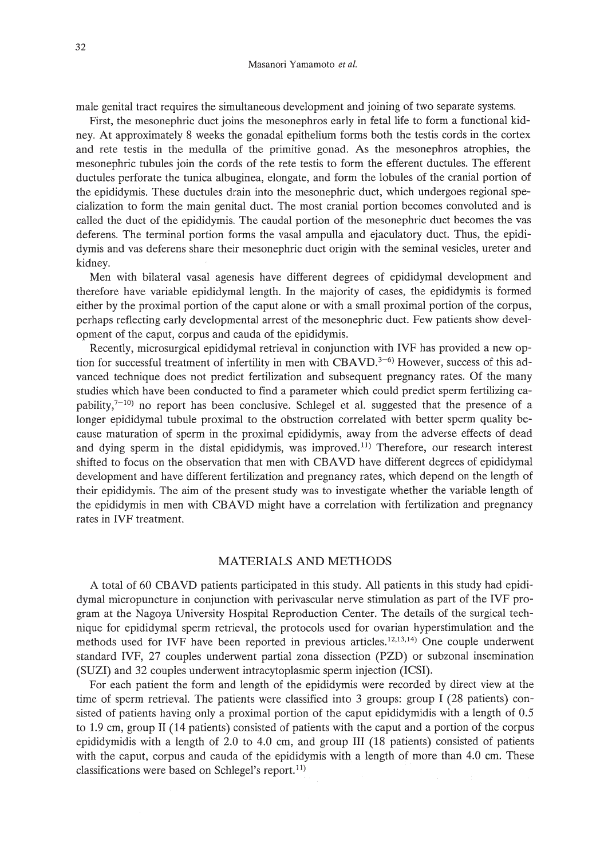male genital tract requires the simultaneous development and joining of two separate systems.

First, the mesonephric duct joins the mesonephros early in fetal life to form a functional kidney. At approximately 8 weeks the gonadal epithelium forms both the testis cords in the cortex and rete testis in the medulla of the primitive gonad. As the mesonephros atrophies, the mesonephric tubules join the cords of the rete testis to form the efferent ductules. The efferent ductules perforate the tunica albuginea, elongate, and form the lobules of the cranial portion of the epididymis. These ductules drain into the mesonephric duct, which undergoes regional specialization to form the main genital duct. The most cranial portion becomes convoluted and is called the duct of the epididymis. The caudal portion of the mesonephric duct becomes the vas deferens. The terminal portion forms the vasal ampulla and ejaculatory duct. Thus, the epididymis and vas deferens share their mesonephric duct origin with the seminal vesicles, ureter and kidney.

Men with bilateral vasal agenesis have different degrees of epididymal development and therefore have variable epididymal length. In the majority of cases, the epididymis is formed either by the proximal portion of the caput alone or with a small proximal portion of the corpus, perhaps reflecting early developmental arrest of the mesonephric duct. Few patients show development of the caput, corpus and cauda of the epididymis.

Recently, microsurgical epididymal retrieval in conjunction with IVF has provided a new option for successful treatment of infertility in men with CBAVD.<sup>3-6)</sup> However, success of this advanced technique does not predict fertilization and subsequent pregnancy rates. Of the many studies which have been conducted to find a parameter which could predict sperm fertilizing capability, $7^{-10}$ ) no report has been conclusive. Schlegel et al. suggested that the presence of a longer epididymal tubule proximal to the obstruction correlated with better sperm quality because maturation of sperm in the proximal epididymis, away from the adverse effects of dead and dying sperm in the distal epididymis, was improved.<sup> $11)$ </sup> Therefore, our research interest shifted to focus on the observation that men with CBAVD have different degrees of epididymal development and have different fertilization and pregnancy rates, which depend on the length of their epididymis. The aim of the present study was to investigate whether the variable length of the epididymis in men with CBAVD might have a correlation with fertilization and pregnancy rates in IVF treatment.

### MATERIALS AND METHODS

A total of 60 CBAVD patients participated in this study. All patients in this study had epididymal micropuncture in conjunction with perivascular nerve stimulation as part of the IVF program at the Nagoya University Hospital Reproduction Center. The details of the surgical technique for epididymal sperm retrieval, the protocols used for ovarian hyperstimulation and the methods used for IVF have been reported in previous articles.12.13.14) One couple underwent standard IVF, 27 couples underwent partial zona dissection (PZD) or subzonal insemination (SUZI) and 32 couples underwent intracytoplasmic sperm injection (ICSI).

For each patient the form and length of the epididymis were recorded by direct view at the time of sperm retrieval. The patients were classified into 3 groups: group I (28 patients) consisted of patients having only a proximal portion of the caput epididymidis with a length of 0.5 to 1.9 cm, group II (14 patients) consisted of patients with the caput and a portion of the corpus epididymidis with a length of 2.0 to 4.0 cm, and group III (18 patients) consisted of patients with the caput, corpus and cauda of the epididymis with a length of more than 4.0 cm. These classifications were based on Schlegel's report.<sup>11)</sup>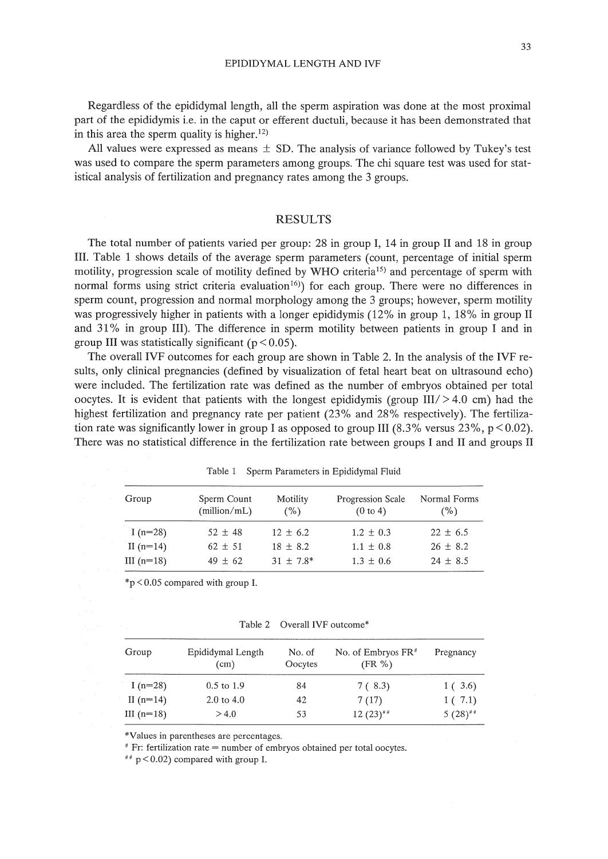Regardless of the epididymal length, all the sperm aspiration was done at the most proximal part of the epididymis i.e. in the caput or efferent ductuli, because it has been demonstrated that in this area the sperm quality is higher.<sup>12)</sup>

All values were expressed as means  $\pm$  SD. The analysis of variance followed by Tukey's test was used to compare the sperm parameters among groups. The chi square test was used for statistical analysis of fertilization and pregnancy rates among the 3 groups.

#### RESULTS

The total number of patients varied per group: 28 in group I, 14 in group II and 18 in group III. Table 1 shows details of the average sperm parameters (count, percentage of initial sperm motility, progression scale of motility defined by WHO criteria<sup>15)</sup> and percentage of sperm with normal forms using strict criteria evaluation<sup>16)</sup>) for each group. There were no differences in sperm count, progression and normal morphology among the 3 groups; however, sperm motility was progressively higher in patients with a longer epididymis (12% in group 1, 18% in group II and 31 % in group III). The difference in sperm motility between patients in group I and in group III was statistically significant ( $p < 0.05$ ).

The overall IVF outcomes for each group are shown in Table 2. In the analysis of the IVF results, only clinical pregnancies (defined by visualization of fetal heart beat on ultrasound echo) were included. The fertilization rate was defined as the number of embryos obtained per total oocytes. It is evident that patients with the longest epididymis (group  $III/ > 4.0$  cm) had the highest fertilization and pregnancy rate per patient (23% and 28% respectively). The fertilization rate was significantly lower in group I as opposed to group III  $(8.3\%$  versus 23%, p < 0.02). There was no statistical difference in the fertilization rate between groups I and II and groups II

| Group        | Sperm Count<br>(million/mL) | Motility<br>$($ %) | Progression Scale<br>(0 to 4) | Normal Forms<br>(%) |
|--------------|-----------------------------|--------------------|-------------------------------|---------------------|
| I $(n=28)$   | $52 \pm 48$                 | $12 \pm 6.2$       | $1.2 \pm 0.3$                 | $22 \pm 6.5$        |
| II $(n=14)$  | $62 \pm 51$                 | $18 \pm 8.2$       | $1.1 \pm 0.8$                 | $26 \pm 8.2$        |
| III $(n=18)$ | $49 \pm 62$                 | $31 \pm 7.8^*$     | $1.3 \pm 0.6$                 | $24 \pm 8.5$        |

Table 1 Sperm Parameters in Epididymal Fluid

\*p <0.05 compared with group 1.

Table 2 Overall IVF outcome\*

| Group        | Epididymal Length<br>(cm) | No. of<br>Oocytes | No. of Embryos $FR$ <sup>#</sup><br>$(FR \%)$ | Pregnancy             |
|--------------|---------------------------|-------------------|-----------------------------------------------|-----------------------|
| I $(n=28)$   | $0.5 \text{ to } 1.9$     | 84                | 7 (8.3)                                       | 1(3.6)                |
| II $(n=14)$  | $2.0 \text{ to } 4.0$     | 42                | 7(17)                                         | 1(7.1)                |
| III $(n=18)$ | > 4.0                     | 53                | $12(23)$ <sup>##</sup>                        | $5(28)$ <sup>##</sup> |

\*Values in parentheses are percentages.

# Fr: fertilization rate = number of embryos obtained per total oocytes.

 $#$  p < 0.02) compared with group I.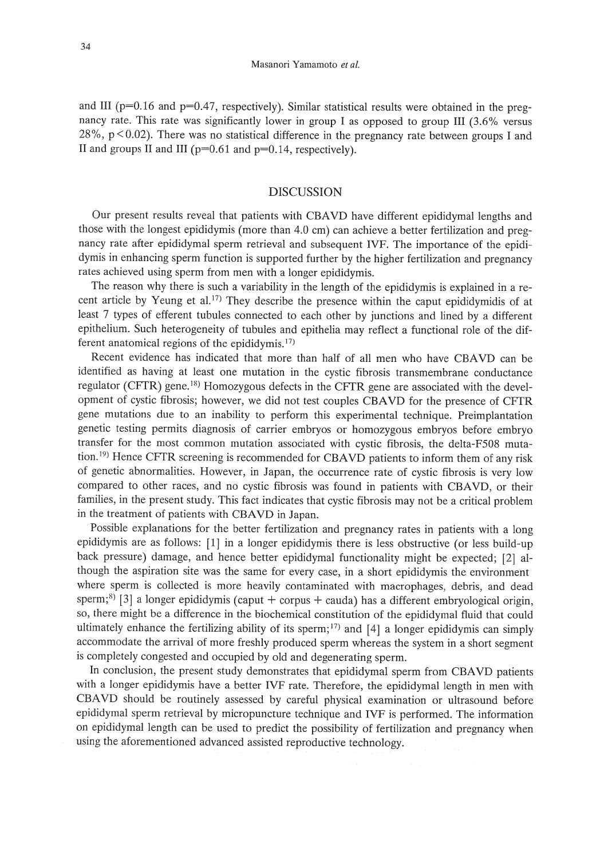and III ( $p=0.16$  and  $p=0.47$ , respectively). Similar statistical results were obtained in the pregnancy rate. This rate was significantly lower in group I as opposed to group III (3.6% versus 28%,  $p < 0.02$ ). There was no statistical difference in the pregnancy rate between groups I and II and groups II and III ( $p=0.61$  and  $p=0.14$ , respectively).

## DISCUSSION

Our present results reveal that patients with CBAVD have different epididymal lengths and those with the longest epididymis (more than 4.0 cm) can achieve a better fertilization and pregnancy rate after epididymal sperm retrieval and subsequent IVE The importance of the epididymis in enhancing sperm function is supported further by the higher fertilization and pregnancy rates achieved using sperm from men with a longer epididymis.

The reason why there is such a variability in the length of the epididymis is explained in a recent article by Yeung et al.<sup>17)</sup> They describe the presence within the caput epididymidis of at least 7 types of efferent tubules connected to each other by junctions and lined by a different epithelium. Such heterogeneity of tubules and epithelia may reflect a functional role of the different anatomical regions of the epididymis. 17)

Recent evidence has indicated that more than half of all men who have CBAVD can be identified as having at least one mutation in the cystic fibrosis transmembrane conductance regulator (CFrR) gene. 18) Homozygous defects in the CFrR gene are associated with the development of cystic fibrosis; however, we did not test couples CBAVD for the presence of CFrR gene mutations due to an inability to perform this experimental technique. Preimplantation genetic testing permits diagnosis of carrier embryos or homozygous embryos before embryo transfer for the most common mutation associated with cystic fibrosis, the delta-F508 mutation. 19) Hence CFrR screening is recommended for CBAVD patients to inform them of any risk of genetic abnormalities. However, in Japan, the occurrence rate of cystic fibrosis is very low compared to other races, and no cystic fibrosis was found in patients with CBAVD, or their families, in the present study. This fact indicates that cystic fibrosis may not be a critical problem in the treatment of patients with CBAVD in Japan.

Possible explanations for the better fertilization and pregnancy rates in patients with a long epididymis are as follows: [1] in a longer epididymis there is less obstructive (or less build-up back pressure) damage, and hence better epididymal functionality might be expected; [2] although the aspiration site was the same for every case, in a short epididymis the environment where sperm is collected is more heavily contaminated with macrophages, debris, and dead sperm;<sup>8)</sup> [3] a longer epididymis (caput + corpus + cauda) has a different embryological origin, so, there might be a difference in the biochemical constitution of the epididymal fluid that could ultimately enhance the fertilizing ability of its sperm;<sup>17)</sup> and [4] a longer epididymis can simply accommodate the arrival of more freshly produced sperm whereas the system in a short segment is completely congested and occupied by old and degenerating sperm.

In conclusion, the present study demonstrates that epididymal sperm from CBAVD patients with a longer epididymis have a better IVF rate. Therefore, the epididymal length in men with CBAVD should be routinely assessed by careful physical examination or ultrasound before epididymal sperm retrieval by micropuncture technique and IVF is performed. The information on epididymal length can be used to predict the possibility of fertilization and pregnancy when using the aforementioned advanced assisted reproductive technology.